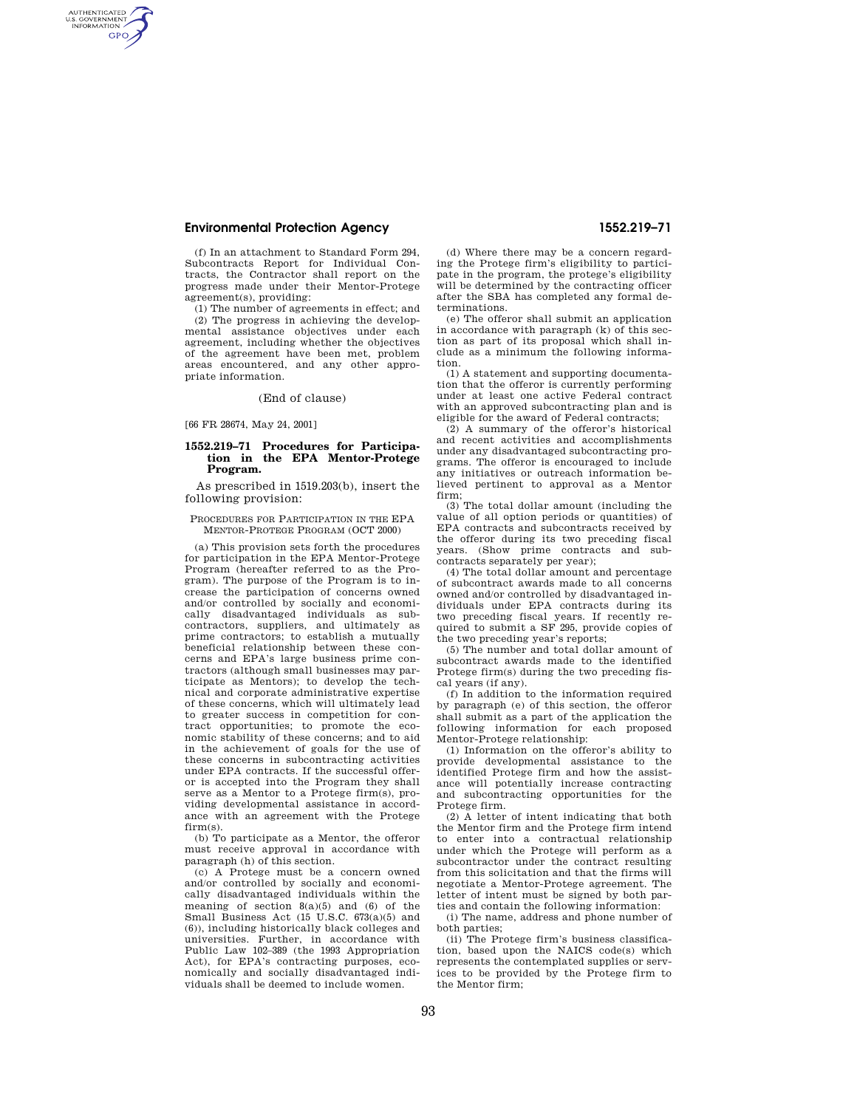## **Environmental Protection Agency 1552.219–71**

AUTHENTICATED<br>U.S. GOVERNMENT<br>INFORMATION **GPO** 

> (f) In an attachment to Standard Form 294, Subcontracts Report for Individual Contracts, the Contractor shall report on the progress made under their Mentor-Protege agreement(s), providing:

> (1) The number of agreements in effect; and (2) The progress in achieving the developmental assistance objectives under each agreement, including whether the objectives of the agreement have been met, problem areas encountered, and any other appropriate information.

> > (End of clause)

[66 FR 28674, May 24, 2001]

### **1552.219–71 Procedures for Participation in the EPA Mentor-Protege Program.**

As prescribed in 1519.203(b), insert the following provision:

### PROCEDURES FOR PARTICIPATION IN THE EPA MENTOR-PROTEGE PROGRAM (OCT 2000)

(a) This provision sets forth the procedures for participation in the EPA Mentor-Protege Program (hereafter referred to as the Program). The purpose of the Program is to increase the participation of concerns owned and/or controlled by socially and economically disadvantaged individuals as subcontractors, suppliers, and ultimately as prime contractors; to establish a mutually beneficial relationship between these concerns and EPA's large business prime contractors (although small businesses may participate as Mentors); to develop the technical and corporate administrative expertise of these concerns, which will ultimately lead to greater success in competition for contract opportunities; to promote the economic stability of these concerns; and to aid in the achievement of goals for the use of these concerns in subcontracting activities under EPA contracts. If the successful offeror is accepted into the Program they shall serve as a Mentor to a Protege firm(s), providing developmental assistance in accordance with an agreement with the Protege firm(s).

(b) To participate as a Mentor, the offeror must receive approval in accordance with paragraph (h) of this section.

(c) A Protege must be a concern owned and/or controlled by socially and economically disadvantaged individuals within the meaning of section 8(a)(5) and (6) of the Small Business Act  $(15 \text{ U.S.C. } 673(a)(5)$  and (6)), including historically black colleges and universities. Further, in accordance with Public Law 102–389 (the 1993 Appropriation Act), for EPA's contracting purposes, economically and socially disadvantaged individuals shall be deemed to include women.

(d) Where there may be a concern regarding the Protege firm's eligibility to participate in the program, the protege's eligibility will be determined by the contracting officer after the SBA has completed any formal determinations.

(e) The offeror shall submit an application in accordance with paragraph (k) of this section as part of its proposal which shall include as a minimum the following information.

(1) A statement and supporting documentation that the offeror is currently performing under at least one active Federal contract with an approved subcontracting plan and is eligible for the award of Federal contracts;

(2) A summary of the offeror's historical and recent activities and accomplishments under any disadvantaged subcontracting programs. The offeror is encouraged to include any initiatives or outreach information believed pertinent to approval as a Mentor firm;

(3) The total dollar amount (including the value of all option periods or quantities) of EPA contracts and subcontracts received by the offeror during its two preceding fiscal years. (Show prime contracts and subcontracts separately per year);

(4) The total dollar amount and percentage of subcontract awards made to all concerns owned and/or controlled by disadvantaged individuals under EPA contracts during its two preceding fiscal years. If recently required to submit a SF 295, provide copies of the two preceding year's reports;

(5) The number and total dollar amount of subcontract awards made to the identified Protege firm(s) during the two preceding fiscal years (if any).

(f) In addition to the information required by paragraph (e) of this section, the offeror shall submit as a part of the application the following information for each proposed Mentor-Protege relationship:

(1) Information on the offeror's ability to provide developmental assistance to the identified Protege firm and how the assistance will potentially increase contracting and subcontracting opportunities for the Protege firm.

(2) A letter of intent indicating that both the Mentor firm and the Protege firm intend to enter into a contractual relationship under which the Protege will perform as a subcontractor under the contract resulting from this solicitation and that the firms will negotiate a Mentor-Protege agreement. The letter of intent must be signed by both parties and contain the following information:

(i) The name, address and phone number of both parties;

(ii) The Protege firm's business classification, based upon the NAICS code(s) which represents the contemplated supplies or services to be provided by the Protege firm to the Mentor firm;